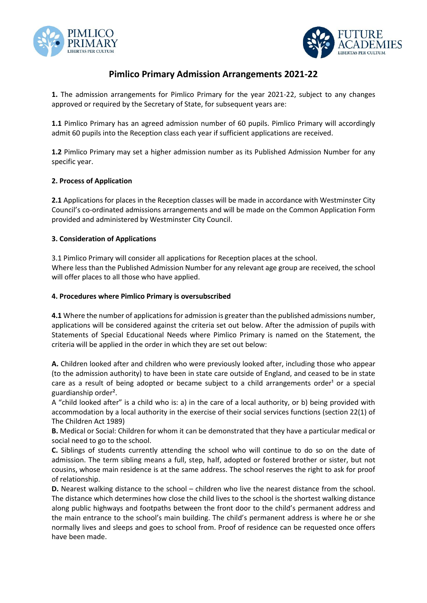



# **Pimlico Primary Admission Arrangements 2021-22**

**1.** The admission arrangements for Pimlico Primary for the year 2021-22, subject to any changes approved or required by the Secretary of State, for subsequent years are:

**1.1** Pimlico Primary has an agreed admission number of 60 pupils. Pimlico Primary will accordingly admit 60 pupils into the Reception class each year if sufficient applications are received.

**1.2** Pimlico Primary may set a higher admission number as its Published Admission Number for any specific year.

## **2. Process of Application**

**2.1** Applications for places in the Reception classes will be made in accordance with Westminster City Council's co-ordinated admissions arrangements and will be made on the Common Application Form provided and administered by Westminster City Council.

## **3. Consideration of Applications**

3.1 Pimlico Primary will consider all applications for Reception places at the school. Where less than the Published Admission Number for any relevant age group are received, the school will offer places to all those who have applied.

## **4. Procedures where Pimlico Primary is oversubscribed**

**4.1** Where the number of applications for admission is greater than the published admissions number, applications will be considered against the criteria set out below. After the admission of pupils with Statements of Special Educational Needs where Pimlico Primary is named on the Statement, the criteria will be applied in the order in which they are set out below:

**A.** Children looked after and children who were previously looked after, including those who appear (to the admission authority) to have been in state care outside of England, and ceased to be in state care as a result of being adopted or became subject to a child arrangements order<sup>1</sup> or a special guardianship order².

A "child looked after" is a child who is: a) in the care of a local authority, or b) being provided with accommodation by a local authority in the exercise of their social services functions (section 22(1) of The Children Act 1989)

**B.** Medical or Social: Children for whom it can be demonstrated that they have a particular medical or social need to go to the school.

**C.** Siblings of students currently attending the school who will continue to do so on the date of admission. The term sibling means a full, step, half, adopted or fostered brother or sister, but not cousins, whose main residence is at the same address. The school reserves the right to ask for proof of relationship.

**D.** Nearest walking distance to the school – children who live the nearest distance from the school. The distance which determines how close the child lives to the school is the shortest walking distance along public highways and footpaths between the front door to the child's permanent address and the main entrance to the school's main building. The child's permanent address is where he or she normally lives and sleeps and goes to school from. Proof of residence can be requested once offers have been made.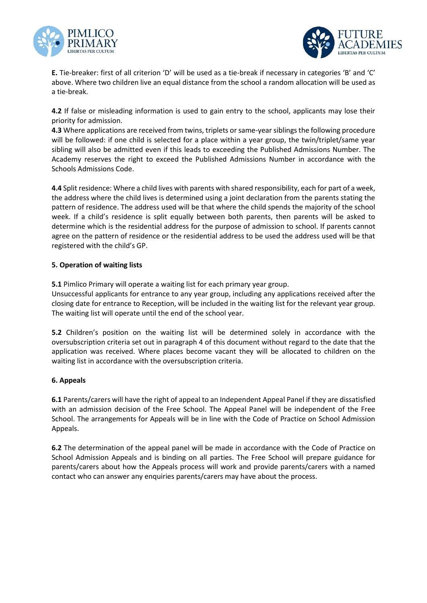



**E.** Tie-breaker: first of all criterion 'D' will be used as a tie-break if necessary in categories 'B' and 'C' above. Where two children live an equal distance from the school a random allocation will be used as a tie-break.

**4.2** If false or misleading information is used to gain entry to the school, applicants may lose their priority for admission.

**4.3** Where applications are received from twins, triplets or same-year siblings the following procedure will be followed: if one child is selected for a place within a year group, the twin/triplet/same year sibling will also be admitted even if this leads to exceeding the Published Admissions Number. The Academy reserves the right to exceed the Published Admissions Number in accordance with the Schools Admissions Code.

**4.4** Split residence: Where a child lives with parents with shared responsibility, each for part of a week, the address where the child lives is determined using a joint declaration from the parents stating the pattern of residence. The address used will be that where the child spends the majority of the school week. If a child's residence is split equally between both parents, then parents will be asked to determine which is the residential address for the purpose of admission to school. If parents cannot agree on the pattern of residence or the residential address to be used the address used will be that registered with the child's GP.

## **5. Operation of waiting lists**

**5.1** Pimlico Primary will operate a waiting list for each primary year group.

Unsuccessful applicants for entrance to any year group, including any applications received after the closing date for entrance to Reception, will be included in the waiting list for the relevant year group. The waiting list will operate until the end of the school year.

**5.2** Children's position on the waiting list will be determined solely in accordance with the oversubscription criteria set out in paragraph 4 of this document without regard to the date that the application was received. Where places become vacant they will be allocated to children on the waiting list in accordance with the oversubscription criteria.

## **6. Appeals**

**6.1** Parents/carers will have the right of appeal to an Independent Appeal Panel if they are dissatisfied with an admission decision of the Free School. The Appeal Panel will be independent of the Free School. The arrangements for Appeals will be in line with the Code of Practice on School Admission Appeals.

**6.2** The determination of the appeal panel will be made in accordance with the Code of Practice on School Admission Appeals and is binding on all parties. The Free School will prepare guidance for parents/carers about how the Appeals process will work and provide parents/carers with a named contact who can answer any enquiries parents/carers may have about the process.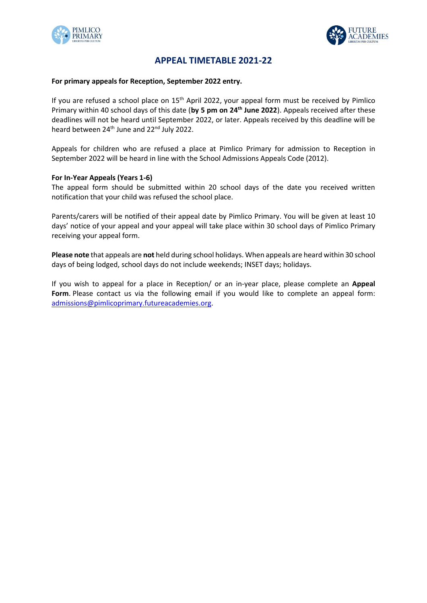



## **APPEAL TIMETABLE 2021-22**

#### **For primary appeals for Reception, September 2022 entry.**

If you are refused a school place on 15<sup>th</sup> April 2022, your appeal form must be received by Pimlico Primary within 40 school days of this date (**by 5 pm on 24th June 2022**). Appeals received after these deadlines will not be heard until September 2022, or later. Appeals received by this deadline will be heard between 24<sup>th</sup> June and 22<sup>nd</sup> July 2022.

Appeals for children who are refused a place at Pimlico Primary for admission to Reception in September 2022 will be heard in line with the School Admissions Appeals Code (2012).

#### **For In-Year Appeals (Years 1-6)**

The appeal form should be submitted within 20 school days of the date you received written notification that your child was refused the school place.

Parents/carers will be notified of their appeal date by Pimlico Primary. You will be given at least 10 days' notice of your appeal and your appeal will take place within 30 school days of Pimlico Primary receiving your appeal form.

**Please note** that appeals are **not** held during school holidays. When appeals are heard within 30 school days of being lodged, school days do not include weekends; INSET days; holidays.

If you wish to appeal for a place in Reception/ or an in-year place, please complete an **Appeal Form**. Please contact us via the following email if you would like to complete an appeal form: [admissions@pimlicoprimary.futureacademies.](mailto:admissions@pimlicoprimary.futureacademies)org.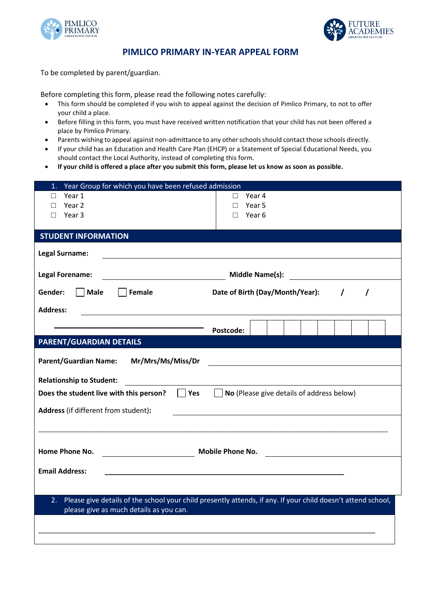



## **PIMLICO PRIMARY IN-YEAR APPEAL FORM**

To be completed by parent/guardian.

Before completing this form, please read the following notes carefully:

- This form should be completed if you wish to appeal against the decision of Pimlico Primary, to not to offer your child a place.
- Before filling in this form, you must have received written notification that your child has not been offered a place by Pimlico Primary.
- Parents wishing to appeal against non-admittance to any other schools should contact those schools directly.
- If your child has an Education and Health Care Plan (EHCP) or a Statement of Special Educational Needs, you should contact the Local Authority, instead of completing this form.
- **If your child is offered a place after you submit this form, please let us know as soon as possible.**

| Year Group for which you have been refused admission<br>1. |                                                                                                              |
|------------------------------------------------------------|--------------------------------------------------------------------------------------------------------------|
| Year 1<br>П                                                | Year 4<br>$\Box$                                                                                             |
| Year 2<br>п                                                | Year 5<br>П                                                                                                  |
| Year 3<br>П                                                | Year 6<br>П                                                                                                  |
| <b>STUDENT INFORMATION</b>                                 |                                                                                                              |
| <b>Legal Surname:</b>                                      |                                                                                                              |
| <b>Legal Forename:</b>                                     | <b>Middle Name(s):</b>                                                                                       |
| Male<br>Gender:<br>Female                                  | Date of Birth (Day/Month/Year):<br>$\prime$<br>$\prime$                                                      |
| <b>Address:</b>                                            |                                                                                                              |
|                                                            |                                                                                                              |
|                                                            | Postcode:                                                                                                    |
| <b>PARENT/GUARDIAN DETAILS</b>                             |                                                                                                              |
| <b>Parent/Guardian Name:</b><br>Mr/Mrs/Ms/Miss/Dr          |                                                                                                              |
| <b>Relationship to Student:</b>                            |                                                                                                              |
|                                                            |                                                                                                              |
|                                                            |                                                                                                              |
| $\Box$ Yes<br>Does the student live with this person?      | $\Box$ No (Please give details of address below)                                                             |
| Address (if different from student):                       |                                                                                                              |
|                                                            |                                                                                                              |
|                                                            |                                                                                                              |
| Home Phone No.                                             |                                                                                                              |
| Mobile Phone No.                                           | <u> 1989 - Andrea Barbara, poeta esperanto-</u>                                                              |
| <b>Email Address:</b>                                      |                                                                                                              |
|                                                            |                                                                                                              |
| 2.                                                         | Please give details of the school your child presently attends, if any. If your child doesn't attend school, |
| please give as much details as you can.                    |                                                                                                              |
|                                                            |                                                                                                              |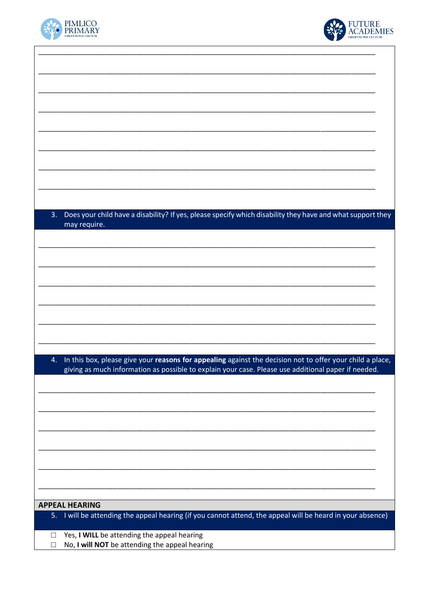



| Does your child have a disability? If yes, please specify which disability they have and what support they<br>3. |
|------------------------------------------------------------------------------------------------------------------|
| may require.                                                                                                     |
|                                                                                                                  |
|                                                                                                                  |
|                                                                                                                  |
|                                                                                                                  |
|                                                                                                                  |
|                                                                                                                  |
|                                                                                                                  |
|                                                                                                                  |
|                                                                                                                  |
| In this box, please give your reasons for appealing against the decision not to offer your child a place,<br>4.  |
| giving as much information as possible to explain your case. Please use additional paper if needed.              |
|                                                                                                                  |
|                                                                                                                  |
|                                                                                                                  |
|                                                                                                                  |
|                                                                                                                  |
|                                                                                                                  |
|                                                                                                                  |
|                                                                                                                  |
|                                                                                                                  |
|                                                                                                                  |
| <b>APPEAL HEARING</b>                                                                                            |
| 5. I will be attending the appeal hearing (if you cannot attend, the appeal will be heard in your absence)       |
| Yes, I WILL be attending the appeal hearing<br>□                                                                 |
| No, I will NOT be attending the appeal hearing                                                                   |